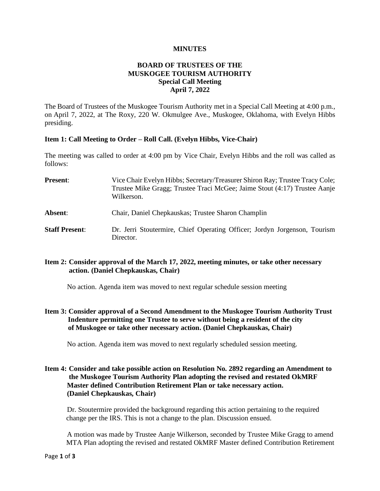#### **MINUTES**

## **BOARD OF TRUSTEES OF THE MUSKOGEE TOURISM AUTHORITY Special Call Meeting April 7, 2022**

The Board of Trustees of the Muskogee Tourism Authority met in a Special Call Meeting at 4:00 p.m., on April 7, 2022, at The Roxy, 220 W. Okmulgee Ave., Muskogee, Oklahoma, with Evelyn Hibbs presiding.

#### **Item 1: Call Meeting to Order – Roll Call. (Evelyn Hibbs, Vice-Chair)**

The meeting was called to order at 4:00 pm by Vice Chair, Evelyn Hibbs and the roll was called as follows:

- **Present:** Vice Chair Evelyn Hibbs; Secretary/Treasurer Shiron Ray; Trustee Tracy Cole; Trustee Mike Gragg; Trustee Traci McGee; Jaime Stout (4:17) Trustee Aanje Wilkerson. **Absent**: Chair, Daniel Chepkauskas; Trustee Sharon Champlin
- **Staff Present**: Dr. Jerri Stoutermire, Chief Operating Officer; Jordyn Jorgenson, Tourism Director.

## **Item 2: Consider approval of the March 17, 2022, meeting minutes, or take other necessary action. (Daniel Chepkauskas, Chair)**

No action. Agenda item was moved to next regular schedule session meeting

**Item 3: Consider approval of a Second Amendment to the Muskogee Tourism Authority Trust Indenture permitting one Trustee to serve without being a resident of the city of Muskogee or take other necessary action. (Daniel Chepkauskas, Chair)**

No action. Agenda item was moved to next regularly scheduled session meeting.

### **Item 4: Consider and take possible action on Resolution No. 2892 regarding an Amendment to the Muskogee Tourism Authority Plan adopting the revised and restated OkMRF Master defined Contribution Retirement Plan or take necessary action. (Daniel Chepkauskas, Chair)**

Dr. Stoutermire provided the background regarding this action pertaining to the required change per the IRS. This is not a change to the plan. Discussion ensued.

A motion was made by Trustee Aanje Wilkerson, seconded by Trustee Mike Gragg to amend MTA Plan adopting the revised and restated OkMRF Master defined Contribution Retirement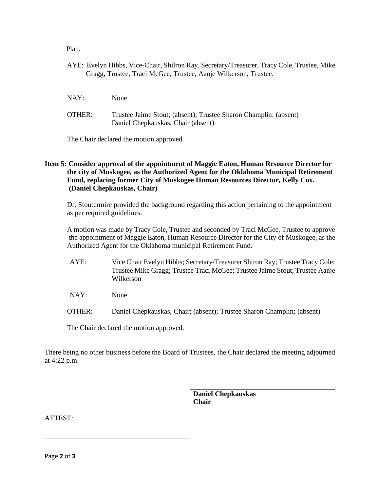Plan.

- AYE: Evelyn Hibbs, Vice-Chair, Shilron Ray, Secretary/Treasurer, Tracy Cole, Trustee, Mike Gragg, Trustee, Traci McGee, Trustee, Aanje Wilkerson, Trustee.
- NAY: None
- OTHER: Trustee Jaime Stout; (absent), Trustee Sharon Champlin: (absent) Daniel Chepkauskas, Chair (absent)

The Chair declared the motion approved.

# **Item 5: Consider approval of the appointment of Maggie Eaton, Human Resource Director for the city of Muskogee, as the Authorized Agent for the Oklahoma Municipal Retirement Fund, replacing former City of Muskogee Human Resources Director, Kelly Cox. (Daniel Chepkauskas, Chair)**

Dr. Stoutermire provided the background regarding this action pertaining to the appointment as per required guidelines.

A motion was made by Tracy Cole, Trustee and seconded by Traci McGee, Trustee to approve the appointment of Maggie Eaton, Human Resource Director for the City of Muskogee, as the Authorized Agent for the Oklahoma municipal Retirement Fund.

- AYE: Vice Chair Evelyn Hibbs; Secretary/Treasurer Shiron Ray; Trustee Tracy Cole; Trustee Mike Gragg; Trustee Traci McGee; Trustee Jaime Stout; Trustee Aanje Wilkerson
- NAY: None
- OTHER: Daniel Chepkauskas, Chair; (absent); Trustee Sharon Champlin; (absent)

The Chair declared the motion approved.

There being no other business before the Board of Trustees, the Chair declared the meeting adjourned at 4:22 p.m.

> **Daniel Chepkauskas Chair**

ATTEST: